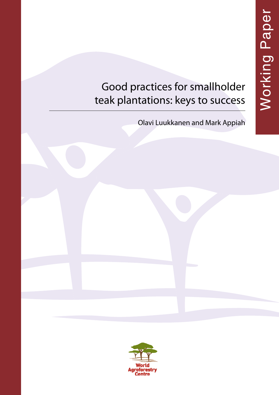# Good practices for smallholder teak plantations: keys to success

Olavi Luukkanen and Mark Appiah

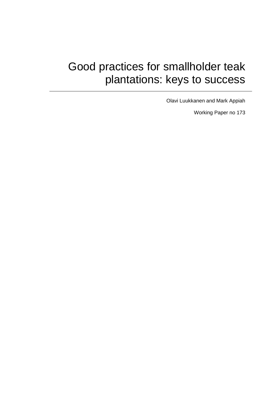# Good practices for smallholder teak plantations: keys to success

Olavi Luukkanen and Mark Appiah

Working Paper no 173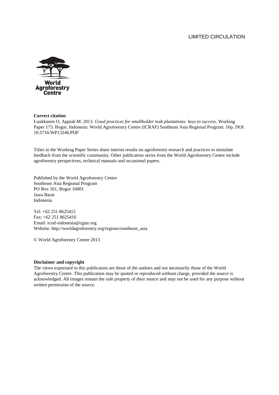### LIMITED CIRCULATION



#### **Correct citation**

Luukkanen O, Appiah M. 2013. *Good practices for smallholder teak plantations: keys to success*. Working Paper 173. Bogor, Indonesia: World Agroforestry Centre (ICRAF) Southeast Asia Regional Program. 16p. DOI: 10.5716/WP13246.PDF

Titles in the Working Paper Series share interim results on agroforestry research and practices to stimulate feedback from the scientific community. Other publication series from the World Agroforestry Centre include agroforestry perspectives, technical manuals and occasional papers.

Published by the World Agroforestry Centre Southeast Asia Regional Program PO Box 161, Bogor 16001 Jawa Barat Indonesia

Tel: +62 251 8625415 Fax: +62 251 8625416 Email: icraf-indonesia@cgiar.org Website: http://worldagroforestry.org/regions/southeast\_asia

© World Agroforestry Centre 2013

#### **Disclaimer and copyright**

The views expressed in this publication are those of the authors and not necessarily those of the World Agroforestry Centre. This publication may be quoted or reproduced without charge, provided the source is acknowledged. All images remain the sole property of their source and may not be used for any purpose without written permission of the source.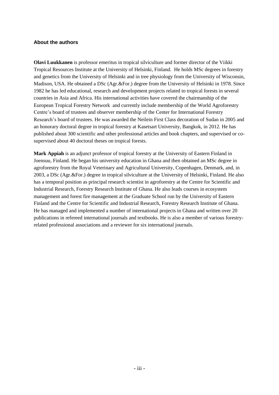### **About the authors**

**Olavi Luukkanen** is professor emeritus in tropical silviculture and former director of the Viikki Tropical Resources Institute at the University of Helsinki, Finland. He holds MSc degrees in forestry and genetics from the University of Helsinki and in tree physiology from the University of Wisconsin, Madison, USA. He obtained a DSc (Agr.&For.) degree from the University of Helsinki in 1978. Since 1982 he has led educational, research and development projects related to tropical forests in several countries in Asia and Africa. His international activities have covered the chairmanship of the European Tropical Forestry Network and currently include membership of the World Agroforestry Centre's board of trustees and observer membership of the Center for International Forestry Research's board of trustees. He was awarded the Neilein First Class decoration of Sudan in 2005 and an honorary doctoral degree in tropical forestry at Kasetsart University, Bangkok, in 2012. He has published about 300 scientific and other professional articles and book chapters, and supervised or cosupervised about 40 doctoral theses on tropical forests.

**Mark Appiah** is an adjunct professor of tropical forestry at the University of Eastern Finland in Joensuu, Finland. He began his university education in Ghana and then obtained an MSc degree in agroforestry from the Royal Veterinary and Agricultural University, Copenhagen, Denmark, and, in 2003, a DSc (Agr.&For.) degree in tropical silviculture at the University of Helsinki, Finland. He also has a temporal position as principal research scientist in agroforestry at the Centre for Scientific and Industrial Research, Forestry Research Institute of Ghana. He also leads courses in ecosystem management and forest fire management at the Graduate School run by the University of Eastern Finland and the Centre for Scientific and Industrial Research, Forestry Research Institute of Ghana. He has managed and implemented a number of international projects in Ghana and written over 20 publications in refereed international journals and textbooks. He is also a member of various forestryrelated professional associations and a reviewer for six international journals.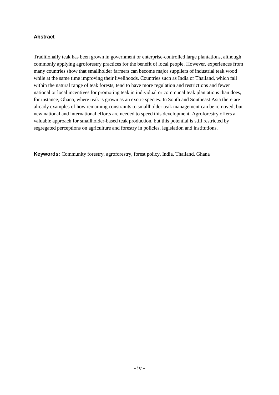### **Abstract**

Traditionally teak has been grown in government or enterprise-controlled large plantations, although commonly applying agroforestry practices for the benefit of local people. However, experiences from many countries show that smallholder farmers can become major suppliers of industrial teak wood while at the same time improving their livelihoods. Countries such as India or Thailand, which fall within the natural range of teak forests, tend to have more regulation and restrictions and fewer national or local incentives for promoting teak in individual or communal teak plantations than does, for instance, Ghana, where teak is grown as an exotic species. In South and Southeast Asia there are already examples of how remaining constraints to smallholder teak management can be removed, but new national and international efforts are needed to speed this development. Agroforestry offers a valuable approach for smallholder-based teak production, but this potential is still restricted by segregated perceptions on agriculture and forestry in policies, legislation and institutions.

**Keywords:** Community forestry, agroforestry, forest policy, India, Thailand, Ghana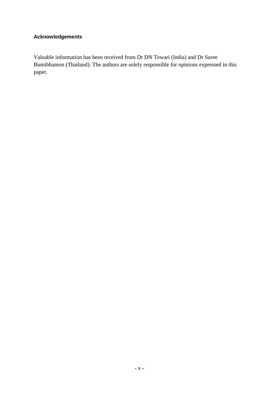## **Acknowledgements**

Valuable information has been received from Dr DN Tewari (India) and Dr Suree Bumibhamon (Thailand). The authors are solely responsible for opinions expressed in this paper.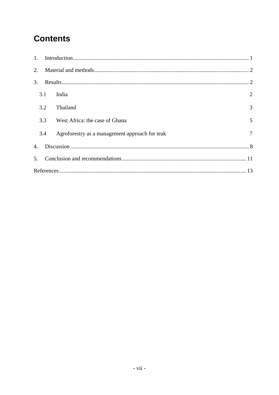# **Contents**

| $1_{\cdot}$    |     |                                                |   |  |
|----------------|-----|------------------------------------------------|---|--|
| 2.             |     |                                                |   |  |
| 3.             |     |                                                |   |  |
|                | 3.1 | India                                          | 2 |  |
|                | 3.2 | Thailand                                       | 3 |  |
|                | 3.3 | West Africa: the case of Ghana                 | 5 |  |
|                | 3.4 | Agroforestry as a management approach for teak | 7 |  |
| $\mathbf{4}$ . |     |                                                |   |  |
| 5.             |     |                                                |   |  |
|                |     |                                                |   |  |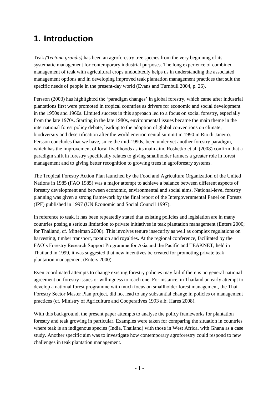# **1. Introduction**

Teak *(Tectona grandis)* has been an agroforestry tree species from the very beginning of its systematic management for contemporary industrial purposes. The long experience of combined management of teak with agricultural crops undoubtedly helps us in understanding the associated management options and in developing improved teak plantation management practices that suit the specific needs of people in the present-day world (Evans and Turnbull 2004, p. 26).

Persson (2003) has highlighted the 'paradigm changes' in global forestry, which came after industrial plantations first were promoted in tropical countries as drivers for economic and social development in the 1950s and 1960s. Limited success in this approach led to a focus on social forestry, especially from the late 1970s. Starting in the late 1980s, environmental issues became the main theme in the international forest policy debate, leading to the adoption of global conventions on climate, biodiversity and desertification after the world environmental summit in 1990 in Rio di Janeiro. Persson concludes that we have, since the mid-1990s, been under yet another forestry paradigm, which has the improvement of local livelihoods as its main aim. Roshetko et al. (2008) confirm that a paradigm shift in forestry specifically relates to giving smallholder farmers a greater role in forest management and to giving better recognition to growing trees in agroforestry systems.

The Tropical Forestry Action Plan launched by the Food and Agriculture Organization of the United Nations in 1985 (FAO 1985) was a major attempt to achieve a balance between different aspects of forestry development and between economic, environmental and social aims. National-level forestry planning was given a strong framework by the final report of the Intergovernmental Panel on Forests (IPF) published in 1997 (UN Economic and Social Council 1997).

In reference to teak, it has been repeatedly stated that existing policies and legislation are in many countries posing a serious limitation to private initiatives in teak plantation management (Enters 2000; for Thailand, cf. Mittelman 2000). This involves tenure insecurity as well as complex regulations on harvesting, timber transport, taxation and royalties. At the regional conference, facilitated by the FAO's Forestry Research Support Programme for Asia and the Pacific and TEAKNET, held in Thailand in 1999, it was suggested that new incentives be created for promoting private teak plantation management (Enters 2000).

Even coordinated attempts to change existing forestry policies may fail if there is no general national agreement on forestry issues or willingness to reach one. For instance, in Thailand an early attempt to develop a national forest programme with much focus on smallholder forest management, the Thai Forestry Sector Master Plan project, did not lead to any substantial change in policies or management practices (cf. Ministry of Agriculture and Cooperatives 1993 a,b; Hares 2008).

With this background, the present paper attempts to analyse the policy frameworks for plantation forestry and teak growing in particular. Examples were taken for comparing the situation in countries where teak is an indigenous species (India, Thailand) with those in West Africa, with Ghana as a case study. Another specific aim was to investigate how contemporary agroforestry could respond to new challenges in teak plantation management.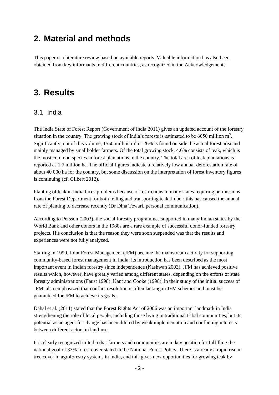# **2. Material and methods**

This paper is a literature review based on available reports. Valuable information has also been obtained from key informants in different countries, as recognized in the Acknowledgements.

# **3. Results**

## 3.1 India

The India State of Forest Report (Government of India 2011) gives an updated account of the forestry situation in the country. The growing stock of India's forests is estimated to be 6050 million  $m^3$ . Significantly, out of this volume, 1550 million  $m<sup>3</sup>$  or 26% is found outside the actual forest area and mainly managed by smallholder farmers. Of the total growing stock, 4.6% consists of teak, which is the most common species in forest plantations in the country. The total area of teak plantations is reported as 1.7 million ha. The official figures indicate a relatively low annual deforestation rate of about 40 000 ha for the country, but some discussion on the interpretation of forest inventory figures is continuing (cf. Gilbert 2012).

Planting of teak in India faces problems because of restrictions in many states requiring permissions from the Forest Department for both felling and transporting teak timber; this has caused the annual rate of planting to decrease recently (Dr Dina Tewari, personal communication).

According to Persson (2003), the social forestry programmes supported in many Indian states by the World Bank and other donors in the 1980s are a rare example of successful donor-funded forestry projects. His conclusion is that the reason they were soon suspended was that the results and experiences were not fully analyzed.

Starting in 1990, Joint Forest Management (JFM) became the mainstream activity for supporting community-based forest management in India; its introduction has been described as the most important event in Indian forestry since independence (Kashwan 2003). JFM has achieved positive results which, however, have greatly varied among different states, depending on the efforts of state forestry administrations (Faust 1998). Kant and Cooke (1998), in their study of the initial success of JFM, also emphasized that conflict resolution is often lacking in JFM schemes and must be guaranteed for JFM to achieve its goals.

Dahal et al. (2011) stated that the Forest Rights Act of 2006 was an important landmark in India strengthening the role of local people, including those living in traditional tribal communities, but its potential as an agent for change has been diluted by weak implementation and conflicting interests between different actors in land-use.

It is clearly recognized in India that farmers and communities are in key position for fulfilling the national goal of 33% forest cover stated in the National Forest Policy. There is already a rapid rise in tree cover in agroforestry systems in India, and this gives new opportunities for growing teak by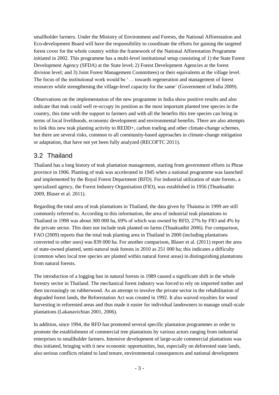smallholder farmers. Under the Ministry of Environment and Forests, the National Afforestation and Eco-development Board will have the responsibility to coordinate the efforts for gaining the targeted forest cover for the whole country within the framework of the National Afforestation Programme initiated in 2002. This programme has a multi-level institutional setup consisting of 1) the State Forest Development Agency (SFDA) at the State level; 2) Forest Development Agencies at the forest division level; and 3) Joint Forest Management Committees) or their equivalents at the village level. The focus of the institutional work would be '… towards regeneration and management of forest resources while strengthening the village-level capacity for the same' (Government of India 2009).

Observations on the implementation of the new programme in India show positive results and also indicate that teak could well re-occupy its position as the most important planted tree species in the country, this time with the support to farmers and with all the benefits this tree species can bring in terms of local livelihoods, economic development and environmental benefits. There are also attempts to link this new teak planting activity to REDD+, carbon trading and other climate-change schemes, but there are several risks, common to all community-based approaches in climate-change mitigation or adaptation, that have not yet been fully analyzed (RECOFTC 2011).

## 3.2 Thailand

Thailand has a long history of teak plantation management, starting from government efforts in Phrae province in 1906. Planting of teak was accelerated in 1945 when a national programme was launched and implemented by the Royal Forest Department (RFD). For industrial utilization of state forests, a specialized agency, the Forest Industry Organisation (FIO), was established in 1956 (Thueksathit 2009, Blaser et al. 2011).

Regarding the total area of teak plantations in Thailand, the data given by Thaiutsa in 1999 are still commonly referred to. According to this information, the area of industrial teak plantations in Thailand in 1998 was about 300 000 ha, 69% of which was owned by RFD, 27% by FIO and 4% by the private sector. This does not include teak planted on farms (Thuaksathit 2006). For comparison, FAO (2009) reports that the total teak planting area in Thailand in 2000 (including plantations converted to other uses) was 839 000 ha. For another comparison, Blaser et al. (2011) report the area of state-owned planted, semi-natural teak forests in 2010 as 251 000 ha; this indicates a difficulty (common when local tree species are planted within natural forest areas) in distinguishing plantations from natural forests.

The introduction of a logging ban in natural forests in 1989 caused a significant shift in the whole forestry sector in Thailand. The mechanical forest industry was forced to rely on imported timber and then increasingly on rubberwood. As an attempt to involve the private sector in the rehabilitation of degraded forest lands, the Reforestation Act was created in 1992. It also waived royalties for wood harvesting in reforested areas and thus made it easier for individual landowners to manage small-scale plantations (Lakanavichian 2001, 2006).

In addition, since 1994, the RFD has promoted several specific plantation programmes in order to promote the establishment of commercial tree plantations by various actors ranging from industrial enterprises to smallholder farmers. Intensive development of large-scale commercial plantations was thus initiated, bringing with it new economic opportunities, but, especially on deforested state lands, also serious conflicts related to land tenure, environmental consequences and national development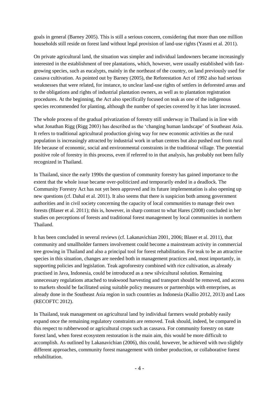goals in general (Barney 2005). This is still a serious concern, considering that more than one million households still reside on forest land without legal provision of land-use rights (Yasmi et al. 2011).

On private agricultural land, the situation was simpler and individual landowners became increasingly interested in the establishment of tree plantations, which, however, were usually established with fastgrowing species, such as eucalypts, mainly in the northeast of the country, on land previously used for cassava cultivation. As pointed out by Barney (2005), the Reforestation Act of 1992 also had serious weaknesses that were related, for instance, to unclear land-use rights of settlers in deforested areas and to the obligations and rights of industrial plantation owners, as well as to plantation registration procedures. At the beginning, the Act also specifically focused on teak as one of the indigenous species recommended for planting, although the number of species covered by it has later increased.

The whole process of the gradual privatization of forestry still underway in Thailand is in line with what Jonathan Rigg (Rigg 2003) has described as the 'changing human landscape' of Southeast Asia. It refers to traditional agricultural production giving way for new economic activities as the rural population is increasingly attracted by industrial work in urban centres but also pushed out from rural life because of economic, social and environmental constraints in the traditional village. The potential positive role of forestry in this process, even if referred to in that analysis, has probably not been fully recognized in Thailand.

In Thailand, since the early 1990s the question of community forestry has gained importance to the extent that the whole issue became over-politicized and temporarily ended in a deadlock. The Community Forestry Act has not yet been approved and its future implementation is also opening up new questions (cf. Dahal et al. 2011). It also seems that there is suspicion both among government authorities and in civil society concerning the capacity of local communities to manage their own forests (Blaser et al. 2011); this is, however, in sharp contrast to what Hares (2008) concluded in her studies on perceptions of forests and traditional forest management by local communities in northern Thailand.

It has been concluded in several reviews (cf. Lakanavichian 2001, 2006; Blaser et al. 2011), that community and smallholder farmers involvement could become a mainstream activity in commercial tree growing in Thailand and also a principal tool for forest rehabilitation. For teak to be an attractive species in this situation, changes are needed both in management practices and, most importantly, in supporting policies and legislation. Teak agroforestry combined with rice cultivation, as already practised in Java, Indonesia, could be introduced as a new silvicultural solution. Remaining unnecessary regulations attached to teakwood harvesting and transport should be removed, and access to markets should be facilitated using suitable policy measures or partnerships with enterprises, as already done in the Southeast Asia region in such countries as Indonesia (Kallio 2012, 2013) and Laos (RECOFTC 2012).

In Thailand, teak management on agricultural land by individual farmers would probably easily expand once the remaining regulatory constraints are removed. Teak should, indeed, be compared in this respect to rubberwood or agricultural crops such as cassava. For community forestry on state forest land, when forest ecosystem restoration is the main aim, this would be more difficult to accomplish. As outlined by Lakanavichian (2006), this could, however, be achieved with two slightly different approaches, community forest management with timber production, or collaborative forest rehabilitation.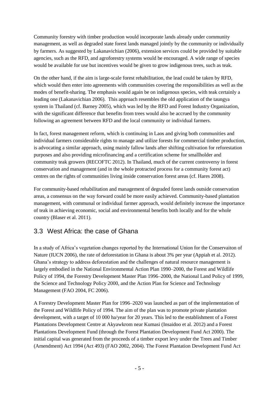Community forestry with timber production would incorporate lands already under community management, as well as degraded state forest lands managed jointly by the community or individually by farmers. As suggested by Lakanavichian (2006), extension services could be provided by suitable agencies, such as the RFD, and agroforestry systems would be encouraged. A wide range of species would be available for use but incentives would be given to grow indigenous trees, such as teak.

On the other hand, if the aim is large-scale forest rehabilitation, the lead could be taken by RFD, which would then enter into agreements with communities covering the responsibilities as well as the modes of benefit-sharing. The emphasis would again be on indigenous species, with teak certainly a leading one (Lakanavichian 2006). This approach resembles the old application of the taungya system in Thailand (cf. Barney 2005), which was led by the RFD and Forest Industry Organization, with the significant difference that benefits from trees would also be accrued by the community following an agreement between RFD and the local community or individual farmers.

In fact, forest management reform, which is continuing in Laos and giving both communities and individual farmers considerable rights to manage and utilize forests for commercial timber production, is advocating a similar approach, using mainly fallow lands after shifting cultivation for reforestation purposes and also providing microfinancing and a certification scheme for smallholder and community teak growers (RECOFTC 2012). In Thailand, much of the current controversy in forest conservation and management (and in the whole protracted process for a community forest act) centres on the rights of communities living inside conservation forest areas (cf. Hares 2008).

For community-based rehabilitation and management of degraded forest lands outside conservation areas, a consensus on the way forward could be more easily achieved. Community-based plantation management, with communal or individual farmer approach, would definitely increase the importance of teak in achieving economic, social and environmental benefits both locally and for the whole country (Blaser et al. 2011).

## 3.3 West Africa: the case of Ghana

In a study of Africa's vegetation changes reported by the International Union for the Conservaiton of Nature (IUCN 2006), the rate of deforestation in Ghana is about 3% per year (Appiah et al. 2012). Ghana's strategy to address deforestation and the challenges of natural resource management is largely embodied in the National Environmental Action Plan 1990–2000, the Forest and Wildlife Policy of 1994, the Forestry Development Master Plan 1996–2000, the National Land Policy of 1999, the Science and Technology Policy 2000, and the Action Plan for Science and Technology Management (FAO 2004, FC 2006).

A Forestry Development Master Plan for 1996–2020 was launched as part of the implementation of the Forest and Wildlife Policy of 1994. The aim of the plan was to promote private plantation development, with a target of 10 000 ha/year for 20 years. This led to the establishment of a Forest Plantations Development Centre at Akyawkrom near Kumasi (Insaidoo et al. 2012) and a Forest Plantations Development Fund (through the Forest Plantation Development Fund Act 2000). The initial capital was generated from the proceeds of a timber export levy under the Trees and Timber (Amendment) Act 1994 (Act 493) (FAO 2002, 2004). The Forest Plantation Development Fund Act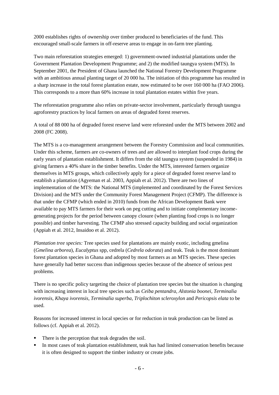2000 establishes rights of ownership over timber produced to beneficiaries of the fund. This encouraged small-scale farmers in off-reserve areas to engage in on-farm tree planting.

Two main reforestation strategies emerged: 1) government-owned industrial plantations under the Government Plantation Development Programme; and 2) the modified taungya system (MTS). In September 2001, the President of Ghana launched the National Forestry Development Programme with an ambitious annual planting target of 20 000 ha. The initiation of this programme has resulted in a sharp increase in the total forest plantation estate, now estimated to be over 160 000 ha (FAO 2006). This corresponds to a more than 60% increase in total plantation estates within five years.

The reforestation programme also relies on private-sector involvement, particularly through taungya agroforestry practices by local farmers on areas of degraded forest reserves.

A total of 88 000 ha of degraded forest reserve land were reforested under the MTS between 2002 and 2008 (FC 2008).

The MTS is a co-management arrangement between the Forestry Commission and local communities. Under this scheme, farmers are co-owners of trees and are allowed to interplant food crops during the early years of plantation establishment. It differs from the old taungya system (suspended in 1984) in giving farmers a 40% share in the timber benefits. Under the MTS, interested farmers organize themselves in MTS groups, which collectively apply for a piece of degraded forest reserve land to establish a plantation (Agyeman et al. 2003, Appiah et al. 2012). There are two lines of implementation of the MTS: the National MTS (implemented and coordinated by the Forest Services Division) and the MTS under the Community Forest Management Project (CFMP). The difference is that under the CFMP (which ended in 2010) funds from the African Development Bank were available to pay MTS farmers for their work on peg cutting and to initiate complementary incomegenerating projects for the period between canopy closure (when planting food crops is no longer possible) and timber harvesting. The CFMP also stressed capacity building and social organization (Appiah et al. 2012, Insaidoo et al. 2012).

*Plantation tree species:* Tree species used for plantations are mainly exotic, including gmelina (*Gmelina arborea*), *Eucalyptus* spp, cedrela (*Cedrela odorata*) and teak. Teak is the most dominant forest plantation species in Ghana and adopted by most farmers as an MTS species. These species have generally had better success than indigenous species because of the absence of serious pest problems.

There is no specific policy targeting the choice of plantation tree species but the situation is changing with increasing interest in local tree species such as *Ceiba pentandra, Alstonia boonei, Terminalia ivorensis, Khaya ivorensis, Terminalia superba, Triplochiton scleroxylon* and *Pericopsis elata* to be used.

Reasons for increased interest in local species or for reduction in teak production can be listed as follows (cf. Appiah et al. 2012).

- There is the perception that teak degrades the soil.
- In most cases of teak plantation establishment, teak has had limited conservation benefits because it is often designed to support the timber industry or create jobs.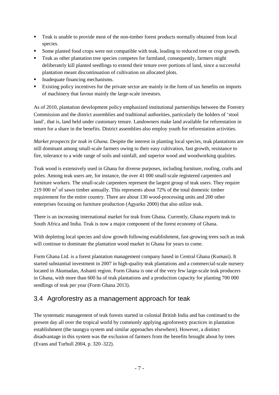- Teak is unable to provide most of the non-timber forest products normally obtained from local species.
- Some planted food crops were not compatible with teak, leading to reduced tree or crop growth.
- **Teak as other plantation tree species competes for farmland, consequently, farmers might** deliberately kill planted seedlings to extend their tenure over portions of land, since a successful plantation meant discontinuation of cultivation on allocated plots.
- Inadequate financing mechanisms.
- Existing policy incentives for the private sector are mainly in the form of tax benefits on imports of machinery that favour mainly the large-scale investors.

As of 2010, plantation development policy emphasized institutional partnerships between the Forestry Commission and the district assemblies and traditional authorities, particularly the holders of 'stool land', that is, land held under customary tenure. Landowners make land available for reforestation in return for a share in the benefits. District assemblies also employ youth for reforestation activities.

*Market prospects for teak in Ghana.* Despite the interest in planting local species, teak plantations are still dominant among small-scale farmers owing to their easy cultivation, fast growth, resistance to fire, tolerance to a wide range of soils and rainfall, and superior wood and woodworking qualities.

Teak wood is extensively used in Ghana for diverse purposes, including furniture, roofing, crafts and poles. Among teak users are, for instance, the over 41 000 small-scale registered carpenters and furniture workers. The small-scale carpenters represent the largest group of teak users. They require 219 000  $\text{m}^3$  of sawn timber annually. This represents about 72% of the total domestic timber requirement for the entire country. There are about 130 wood-processing units and 200 other enterprises focusing on furniture production (Agyarko 2000) that also utilize teak.

There is an increasing international market for teak from Ghana. Currently, Ghana exports teak to South Africa and India. Teak is now a major component of the forest economy of Ghana.

With depleting local species and slow growth following establishment, fast-growing trees such as teak will continue to dominate the plantation wood market in Ghana for years to come.

Form Ghana Ltd. is a forest plantation management company based in Central Ghana (Kumasi). It started substantial investment in 2007 in high-quality teak plantations and a commercial-scale nursery located in Akumadan, Ashanti region. Form Ghana is one of the very few large-scale teak producers in Ghana, with more than 600 ha of teak plantations and a production capacity for planting 700 000 seedlings of teak per year (Form Ghana 2013).

## 3.4 Agroforestry as a management approach for teak

The systematic management of teak forests started in colonial British India and has continued to the present day all over the tropical world by commonly applying agroforestry practices in plantation establishment (the taungya system and similar approaches elsewhere). However, a distinct disadvantage in this system was the exclusion of farmers from the benefits brought about by trees (Evans and Turbull 2004, p. 320–322).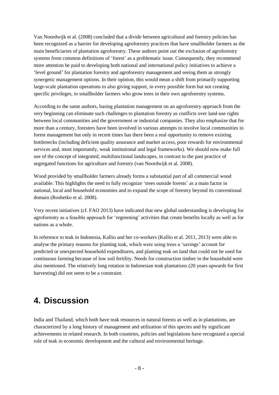Van Noordwijk et al. (2008) concluded that a divide between agricultural and forestry policies has been recognized as a barrier for developing agroforestry practices that have smallholder farmers as the main beneficiaries of plantation agroforestry. These authors point out the exclusion of agroforestry systems from common definitions of 'forest' as a problematic issue. Consequently, they recommend more attention be paid to developing both national and international policy initiatives to achieve a 'level ground' for plantation forestry and agroforestry management and seeing them as strongly synergetic management options. In their opinion, this would mean a shift from primarily supporting large-scale plantation operations to also giving support, in every possible form but not creating specific privileges, to smallholder farmers who grow trees in their own agroforestry systems.

According to the same authors, basing plantation management on an agroforestry approach from the very beginning can eliminate such challenges to plantation forestry as conflicts over land-use rights between local communities and the government or industrial companies. They also emphasize that for more than a century, foresters have been involved in various attempts to involve local communities in forest management but only in recent times has there been a real opportunity to remove existing bottlenecks (including deficient quality assurance and market access, poor rewards for environmental services and, most importantly, weak institutional and legal frameworks). We should now make full use of the concept of integrated, multifunctional landscapes, in contrast to the past practice of segregated functions for agriculture and forestry (van Noordwijk et al. 2008).

Wood provided by smallholder farmers already forms a substantial part of all commercial wood available. This highlights the need to fully recognize 'trees outside forests' as a main factor in national, local and household economies and to expand the scope of forestry beyond its conventional domain (Roshetko et al. 2008).

Very recent initiatives (cf. FAO 2013) have indicated that new global understanding is developing for agroforestry as a feasible approach for 'regreening' activities that create benefits locally as well as for nations as a whole.

In reference to teak in Indonesia, Kallio and her co-workers (Kallio et al. 2011, 2013) were able to analyse the primary reasons for planting teak, which were using trees a 'savings' account for predicted or unexpected household expenditures, and planting teak on land that could not be used for continuous farming because of low soil fertility. Needs for construction timber in the household were also mentioned. The relatively long rotation in Indonesian teak plantations (20 years upwards for first harvesting) did not seem to be a constraint.

## **4. Discussion**

India and Thailand, which both have teak resources in natural forests as well as in plantations, are characterized by a long history of management and utilization of this species and by significant achievements in related research. In both countries, policies and legislations have recognized a special role of teak in economic development and the cultural and environmental heritage.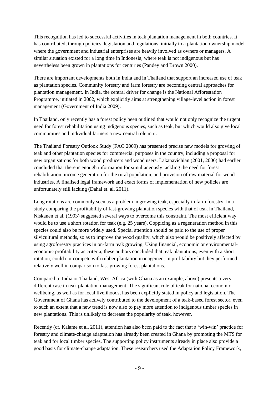This recognition has led to successful activities in teak plantation management in both countries. It has contributed, through policies, legislation and regulations, initially to a plantation ownership model where the government and industrial enterprises are heavily involved as owners or managers. A similar situation existed for a long time in Indonesia, where teak is not indigenous but has nevertheless been grown in plantations for centuries (Pandey and Brown 2000).

There are important developments both in India and in Thailand that support an increased use of teak as plantation species. Community forestry and farm forestry are becoming central approaches for plantation management. In India, the central driver for change is the National Afforestation Programme, initiated in 2002, which explicitly aims at strengthening village-level action in forest management (Government of India 2009).

In Thailand, only recently has a forest policy been outlined that would not only recognize the urgent need for forest rehabilitation using indigenous species, such as teak, but which would also give local communities and individual farmers a new central role in it.

The Thailand Forestry Outlook Study (FAO 2009) has presented precise new models for growing of teak and other plantation species for commercial purposes in the country, including a proposal for new organisations for both wood producers and wood users. Lakanavichian (2001, 2006) had earlier concluded that there is enough information for simultaneously tackling the need for forest rehabilitation, income generation for the rural population, and provision of raw material for wood industries. A finalised legal framework and exact forms of implementation of new policies are unfortunately still lacking (Dahal et. al. 2011).

Long rotations are commonly seen as a problem in growing teak, especially in farm forestry. In a study comparing the profitability of fast-growing plantation species with that of teak in Thailand, Niskanen et al. (1993) suggested several ways to overcome this constraint. The most efficient way would be to use a short rotation for teak (e.g. 25 years). Coppicing as a regeneration method in this species could also be more widely used. Special attention should be paid to the use of proper silvicultural methods, so as to improve the wood quality, which also would be positively affected by using agroforestry practices in on-farm teak growing. Using financial, economic or environmentaleconomic profitability as criteria, these authors concluded that teak plantations, even with a short rotation, could not compete with rubber plantation management in profitability but they performed relatively well in comparison to fast-growing forest plantations.

Compared to India or Thailand, West Africa (with Ghana as an example, above) presents a very different case in teak plantation management. The significant role of teak for national economic wellbeing, as well as for local livelihoods, has been explicitly stated in policy and legislation. The Government of Ghana has actively contributed to the development of a teak-based forest sector, even to such an extent that a new trend is now also to pay more attention to indigenous timber species in new plantations. This is unlikely to decrease the popularity of teak, however.

Recently (cf. Kalame et al. 2011), attention has also been paid to the fact that a 'win-win' practice for forestry and climate-change adaptation has already been created in Ghana by promoting the MTS for teak and for local timber species. The supporting policy instruments already in place also provide a good basis for climate-change adaptation. These researchers used the Adaptation Policy Framework,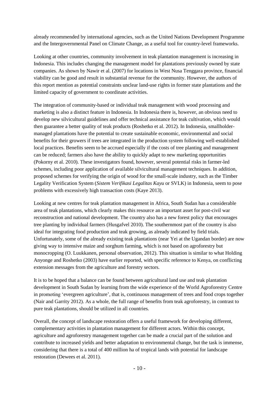already recommended by international agencies, such as the United Nations Development Programme and the Intergovernmental Panel on Climate Change, as a useful tool for country-level frameworks.

Looking at other countries, community involvement in teak plantation management is increasing in Indonesia. This includes changing the management model for plantations previously owned by state companies. As shown by Nawir et al. (2007) for locations in West Nusa Tenggara province, financial viability can be good and result in substantial revenue for the community. However, the authors of this report mention as potential constraints unclear land-use rights in former state plantations and the limited capacity of government to coordinate activities.

The integration of community-based or individual teak management with wood processing and marketing is also a distinct feature in Indonesia. In Indonesia there is, however, an obvious need to develop new silvicultural guidelines and offer technical assistance for teak cultivation, which would then guarantee a better quality of teak products (Roshetko et al. 2012). In Indonesia, smallholdermanaged plantations have the potential to create sustainable economic, environmental and social benefits for their growers if trees are integrated in the production system following well-established local practices. Benefits seem to be accrued especially if the costs of tree planting and management can be reduced; farmers also have the ability to quickly adapt to new marketing opportunities (Pokorny et al. 2010). These investigators found, however, several potential risks in farmer-led schemes, including poor application of available silvicultural management techniques. In addition, proposed schemes for verifying the origin of wood for the small-scale industry, such as the Timber Legality Verification System (*Sistem Verifikasi Legalitas Kayu* or SVLK) in Indonesia, seem to pose problems with excessively high transaction costs (Kaye 2013).

Looking at new centres for teak plantation management in Africa, South Sudan has a considerable area of teak plantations, which clearly makes this resource an important asset for post-civil war reconstruction and national development. The country also has a new forest policy that encourages tree planting by individual farmers (Husgafvel 2010). The southernmost part of the country is also ideal for integrating food production and teak growing, as already indicated by field trials. Unfortunately, some of the already existing teak plantations (near Yei at the Ugandan border) are now giving way to intensive maize and sorghum farming, which is not based on agroforestry but monocropping (O. Luukkanen, personal observation, 2012). This situation is similar to what Holding Anyonge and Roshetko (2003) have earlier reported, with specific reference to Kenya, on conflicting extension messages from the agriculture and forestry sectors.

It is to be hoped that a balance can be found between agricultural land use and teak plantation development in South Sudan by learning from the wide experience of the World Agroforestry Centre in promoting 'evergreen agriculture', that is, continuous management of trees and food crops together (Nair and Garrity 2012). As a whole, the full range of benefits from teak agroforestry, in contrast to pure teak plantations, should be utilized in all countries.

Overall, the concept of landscape restoration offers a useful framework for developing different, complementary activities in plantation management for different actors. Within this concept, agriculture and agroforestry management together can be made a crucial part of the solution and contribute to increased yields and better adaptation to environmental change, but the task is immense, considering that there is a total of 400 million ha of tropical lands with potential for landscape restoration (Dewees et al. 2011).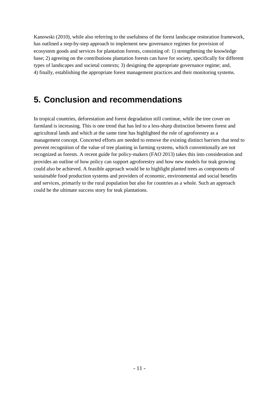Kanowski (2010), while also referring to the usefulness of the forest landscape restoration framework, has outlined a step-by-step approach to implement new governance regimes for provision of ecosystem goods and services for plantation forests, consisting of: 1) strengthening the knowledge base; 2) agreeing on the contributions plantation forests can have for society, specifically for different types of landscapes and societal contexts; 3) designing the appropriate governance regime; and, 4) finally, establishing the appropriate forest management practices and their monitoring systems.

# **5. Conclusion and recommendations**

In tropical countries, deforestation and forest degradation still continue, while the tree cover on farmland is increasing. This is one trend that has led to a less-sharp distinction between forest and agricultural lands and which at the same time has highlighted the role of agroforestry as a management concept. Concerted efforts are needed to remove the existing distinct barriers that tend to prevent recognition of the value of tree planting in farming systems, which conventionally are not recognized as forests. A recent guide for policy-makers (FAO 2013) takes this into consideration and provides an outline of how policy can support agroforestry and how new models for teak growing could also be achieved. A feasible approach would be to highlight planted trees as components of sustainable food production systems and providers of economic, environmental and social benefits and services, primarily to the rural population but also for countries as a whole. Such an approach could be the ultimate success story for teak plantations.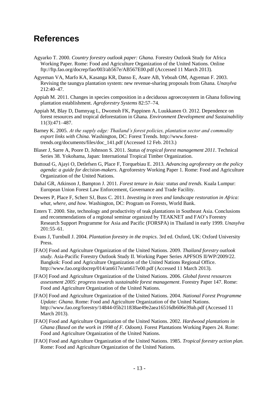# **References**

- Agyarko T. 2000. *Country forestry outlook paper: Ghana.* Forestry Outlook Study for Africa Working Paper. Rome: Food and Agriculture Organization of the United Nations. Online <ftp://ftp.fao.org/docrep/fao/003/ab567e/AB567E00.pdf> (Accessed 11 March 2013).
- Agyeman VA, Marfo KA, Kasanga KR, Danso E, Asare AB, Yeboah OM, Agyeman F. 2003. Revising the taungya plantation system: new revenue-sharing proposals from Ghana*. Unasylva* 212:40–47.
- Appiah M. 2011. Changes in species composition in a deciduous agroecosystem in Ghana following plantation establishment. *Agroforestry Systems* 82:57–74.
- Appiah M, Blay D, Damnyag L, Dwomoh FK, Pappinen A, Luukkanen O. 2012. Dependence on forest resources and tropical deforestation in Ghana. *Environment Development and Sustainability* 11(3):471–487.
- Barney K. 2005. *At the supply edge: Thailand's forest policies, plantation sector and commodity export links with China*. Washington, DC: Forest Trends. [http://www.forest](http://www.forest-trends.org/documents/files/doc_141.pdf)[trends.org/documents/files/doc\\_141.pdf](http://www.forest-trends.org/documents/files/doc_141.pdf) (Accessed 12 Feb. 2013.)
- Blaser J, Sarre A, Poore D, Johnson S. 2011. *Status of tropical forest management 2011*. Technical Series 38. Yokohama, Japan: International Tropical Timber Organization.
- Buttoud G, Ajayi O, Detlefsen G, Place F, Torquebiau E. 2013. *Advancing agroforestry on the policy agenda: a guide for decision-makers*. Agroforestry Working Paper 1. Rome: Food and Agriculture Organization of the United Nations.
- Dahal GR, Atkinson J, Bampton J. 2011. *Forest tenure in Asia: status and trends.* Kuala Lumpur: European Union Forest Law Enforcement, Governance and Trade Facility.
- Dewees P, Place F, Scherr SJ, Buss C. 2011. *Investing in trees and landscape restoration in Africa: what, where, and how.* Washington, DC: Program on Forests, World Bank.
- Enters T. 2000. Site, technology and productivity of teak plantations in Southeast Asia. Conclusions and recommendations of a regional seminar organized by TEAKNET and FAO's Forestry Research Support Programme for Asia and Pacific (FORSPA) in Thailand in early 1999. *Unasylva* 201:55–61.
- Evans J, Turnbull J. 2004. *Plantation forestry in the tropics*. 3rd ed. Oxford, UK: Oxford University Press.
- [FAO] Food and Agriculture Organization of the United Nations. 2009. *Thailand forestry outlook study*. Asia-Pacific Forestry Outlook Study II. Working Paper Series APFSOS II/WP/2009/22. Bangkok: Food and Agriculture Organization of the United Nations Regional Office. <http://www.fao.org/docrep/014/am617e/am617e00.pdf> (Accessed 11 March 2013).
- [FAO] Food and Agriculture Organization of the United Nations. 2006. *Global forest resources assessment 2005: progress towards sustainable forest management*. Forestry Paper 147. Rome: Food and Agriculture Organization of the United Nations.
- [FAO] Food and Agriculture Organization of the United Nations. 2004. *National Forest Programme Update: Ghana*. Rome: Food and Agriculture Organization of the United Nations. <http://www.fao.org/forestry/14844-05b211838ae49e2aea16516db606e39ab.pdf> (Accessed 11 March 2013).
- [FAO] Food and Agriculture Organization of the United Nations. 2002. *Hardwood plantations in Ghana (Based on the work in 1998 of F. Odoom).* Forest Plantations Working Papers 24. Rome: Food and Agriculture Organization of the United Nations.
- [FAO] Food and Agriculture Organization of the United Nations. 1985. *Tropical forestry action plan.* Rome: Food and Agriculture Organization of the United Nations.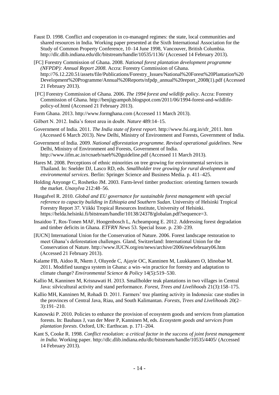- Faust D. 1998. Conflict and cooperation in co-managed regimes: the state, local communities and shared resources in India. Working paper presented at the Sixth International Association for the Study of Common Property Conference, 10–14 June 1998, Vancouver, British Columbia. <http://dlc.dlib.indiana.edu/dlc/bitstream/handle/10535/1136/> (Accessed 14 February 2013).
- [FC] Forestry Commission of Ghana. 2008. *National forest plantation development programme (NFPDP): Annual Report 2008*. Accra: Forestry Commission of Ghana. [http://76.12.220.51/assets/file/Publications/Forestry\\_Issues/National%20Forest%20Plantation%20](http://76.12.220.51/assets/file/Publications/Forestry_Issues/National%20Forest%20Plantation%20Development%20Programme/Annual%20Reports/nfpdp_annual%20report_2008(1).pdf) [Development%20Programme/Annual%20Reports/nfpdp\\_annual%20report\\_2008\(1\).pdf](http://76.12.220.51/assets/file/Publications/Forestry_Issues/National%20Forest%20Plantation%20Development%20Programme/Annual%20Reports/nfpdp_annual%20report_2008(1).pdf) (Accessed 21 February 2013).
- [FC] Forestry Commission of Ghana. 2006. *The 1994 forest and wildlife policy*. Accra: Forestry Commission of Ghana. [http://benjigyampoh.blogspot.com/2011/06/1994-forest-and-wildlife](http://benjigyampoh.blogspot.com/2011/06/1994-forest-and-wildlife-policy-of.html)[policy-of.html](http://benjigyampoh.blogspot.com/2011/06/1994-forest-and-wildlife-policy-of.html) (Accessed 21 February 2013).
- Form Ghana. 2013. [http://www.formghana.com](http://www.formghana.com/) (Accessed 11 March 2013).
- Gilbert N. 2012. India's forest area in doubt. *Nature* 489:14–15.
- Government of India. 2011. *The India state of forest report*. [http://www.fsi.org.in/sfr\\_2011. htm](http://www.fsi.org.in/sfr_2011.%20htm) (Accessed 6 March 2013). New Delhi, Ministry of Environment and Forests, Government of India.
- Government of India. 2009. *National afforestation programme. Revised operational guidelines*. New Delhi, Ministry of Environment and Forests, Government of India. <http://www.iifm.ac.in/rcnaeb/naeb%20guideline.pdf> (Accessed 11 March 2013).
- Hares M. 2008. Perceptions of ethnic minorities on tree growing for environmental services in Thailand. In: Snelder DJ, Lasco RD, eds. *Smallholder tree growing for rural development and environmental services*. Berlin: Springer Science and Business Media. p. 411–425.
- Holding Anyonge C, Roshetko JM. 2003. Farm-level timber production: orienting farmers towards the market. *Unasylva* 212:48–56.
- Husgafvel R. 2010. *Global and EU governance for sustainable forest management with special reference to capacity building in Ethiopia and Southern Sudan*. University of Helsinki Tropical Forestry Report 37. Viikki Tropical Resources Institute, University of Helsinki. [https://helda.helsinki.fi/bitstream/handle/10138/24378/globalan.pdf?sequence=3.](https://helda.helsinki.fi/bitstream/handle/10138/24378/globalan.pdf?sequence=3)
- Insaidoo T, Ros-Tonen MAF, Hoogenbosch L, Acheampong E. 2012. Addressing forest degradation and timber deficits in Ghana. *ETFRN News* 53. Special Issue. p. 230–239.
- [IUCN] International Union for the Conservation of Nature. 2006. Forest landscape restoration to meet Ghana's deforestation challenges. Gland, Switzerland: International Union for the Conservation of Nature. [http://www.IUCN.org/en/news/archive/2006/newfebruary06.htm](http://www.iucn.org/en/news/archive/2006/newfebruary06.htm) (Accessed 21 February 2013).
- Kalame FB, Aidoo R, Nkem J, Oluyede C, Ajayie OC, Kanninen M, Luukkanen O, Idinobae M. 2011. Modified taungya system in Ghana: a win–win practice for forestry and adaptation to climate change? *Environmental Science & Policy* 14(5):519–530.
- Kallio M, Kanninen M, Krisnawati H. 2013. Smallholder teak plantations in two villages in Central Java: silvicultural activity and stand performance. *Forest, Trees and Livelihoods* 21(3):158–175.
- Kallio MH, Kanninen M, Rohadi D. 2011. Farmers' tree planting activity in Indonesia: case studies in the provinces of Central Java, Riau, and South Kalimantan. *Forests, Trees and Livelihoods* 20(2– 3):191–210.
- Kanowski P. 2010. Policies to enhance the provision of ecosystem goods and services from plantation forests. In: Bauhaus J, van der Meer P, Kanninen M, eds. *Ecosystem goods and services from plantation forests*. Oxford, UK: Earthscan. p. 171–204.
- Kant S, Cooke R. 1998. *Conflict resolution: a critical factor in the success of joint forest management in India.* Working paper. <http://dlc.dlib.indiana.edu/dlc/bitstream/handle/10535/4405/> (Accessed 14 February 2013).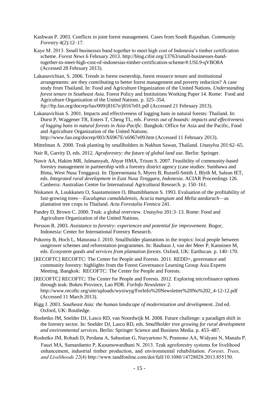- Kashwan P. 2003. Conflicts in joint forest management. Cases from South Rajasthan. *Community Forestry* 4(2):12–17.
- Kaye M. 2013. Small businesses band together to meet high cost of Indonesia's timber certification scheme. *Forest News* 6 February 2013. [http://blog.cifor.org/13763/small-businesses-band](http://blog.cifor.org/13763/small-businesses-band-together-to-meet-high-cost-of-indonesias-timber-certification-scheme/#.USL9-qVBO8A)[together-to-meet-high-cost-of-indonesias-timber-certification-scheme/#.USL9-qVBO8A](http://blog.cifor.org/13763/small-businesses-band-together-to-meet-high-cost-of-indonesias-timber-certification-scheme/#.USL9-qVBO8A) (Accessed 28 February 2013).
- Lakanavichian, S. 2006. Trends in forest ownership, forest resource tenure and institutional arrangements: are they contributing to better forest management and poverty reduction? A case study from Thailand. In: Food and Agriculture Organization of the United Nations. *Understanding forest tenure in Southeast Asia.* Forest Policy and Institutions Working Paper 14. Rome: Food and Agriculture Organization of the United Nations. p. 325–354. <ftp://ftp.fao.org/docrep/fao/009/j8167e/j8167e01.pdf> (Accessed 21 February 2013).
- Lakanavichian S. 2001. Impacts and effectiveness of logging bans in natural forests: Thailand. In: Durst P, Waggener TR, Enters T, Cheng TL, eds. *Forests out of bounds: impacts and effectiveness of logging bans in natural forests in Asia-Pacific*. Bangkok: Office for Asia and the Pacific, Food and Agriculture Organization of the United Nations. <http://www.fao.org/docrep/003/X6967E/x6967e09.htm> (Accessed 11 February 2013).
- Mittelman A. 2000. Teak planting by smallholders in Nakhon Sawan, Thailand. *Unasylva* 201:62–65.
- Nair R, Garrity D, eds. 2012. *Agroforestry: the future of global land use.* Berlin: Springer.
- Nawir AA, Hakim MR, Julmansyah, Ahyar HMA, Trison S. 2007. Feasibility of community-based forestry management in partnership with a forestry district agency (case studies: Sumbawa and Bima, West Nusa Tenggara). In: Djoeroemana S, Myers B, Russell-Smith J, Blyth M, Salean IET, eds. *Integrated rural development in East Nusa Tenggara, Indonesia*. ACIAR Proceedings 126. Canberra: Australian Centre for International Agricultural Research. p. 150–161.
- Niskanen A, Luukkanen O, Saastamoinen O, Bhumibhamon S. 1993. Evaluation of the profitability of fast-growing trees—*Eucaluptus camaldulensis, Acacia mangium* and *Melia azedarach*—as plantation tree crops in Thailand. *Acta Forestalia Fennica* 241.
- Pandey D, Brown C. 2000. Teak: a global overview. *Unasylva* 201:3–13. Rome: Food and Agriculture Organization of the United Nations.
- Persson R. 2003. *Assistance to forestry: experiences and potential for improvement*. Bogor, Indonesia: Center for International Forestry Research.
- Pokorny B, Hoch L, Maturana J. 2010. Smallholder plantations in the tropics: local people between outgrower schemes and reforestation programmes. In: Bauhaus J, van der Meer P, Kanninen M, eds. *Ecosystem goods and services from plantation forests.* Oxford, UK: Earthscan. p. 140–170.
- [RECOFTC] RECOFTC: The Center for People and Forests. 2011. REDD+, governance and community forestry: highlights from the Forest Governance Learning Group Asia Experts Meeting. Bangkok: RECOFTC: The Center for People and Forests.
- [RECOFTC] RECOFTC: The Center for People and Forests. 2012. Exploring microfinance options through teak: Bokeo Province, Lao PDR. *ForInfo Newsletter* 2. [http://www.recoftc.org/site/uploads/wysiwyg/ForInfo%20Newsletter%20No%202\\_4-12-12.pdf](http://www.recoftc.org/site/uploads/wysiwyg/ForInfo%20Newsletter%20No%202_4-12-12.pdf) (Accessed 11 March 2013).
- Rigg J. 2003. *Southeast Asia: the human landscape of modernization and development.* 2nd ed. Oxford, UK: Routledge.
- Roshetko JM, Snelder DJ, Lasco RD, van Noordwijk M. 2008. Future challenge: a paradigm shift in the forestry sector. In: Snelder DJ, Lasco RD, eds. *Smallholder tree growing for rural development and environmental services*. Berlin: Springer Science and Business Media. p. 453–487.
- Roshetko JM, Rohadi D, Perdana A, Sabastian G, Nuryartono N, Pramono AA, Widyani N, Manalu P, Fauzi MA, Sumardamto P, Kusumowardhani N. 2013. Teak agroforestry systems for livelihood enhancement, industrial timber production, and environmental rehabilitation. *Forests, Trees, and Livelihoods 22*(4) http://www.tandfonline.com/doi/full/10.1080/14728028.2013.855150.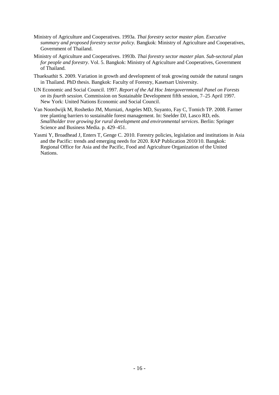- Ministry of Agriculture and Cooperatives. 1993a. *Thai forestry sector master plan. Executive summary and proposed forestry sector policy.* Bangkok: Ministry of Agriculture and Cooperatives, Government of Thailand.
- Ministry of Agriculture and Cooperatives. 1993b. *Thai forestry sector master plan*. *Sub-sectoral plan for people and forestry*. Vol. 5. Bangkok: Ministry of Agriculture and Cooperatives, Government of Thailand.
- Thueksathit S. 2009. Variation in growth and development of teak growing outside the natural ranges in Thailand. PhD thesis. Bangkok: Faculty of Forestry, Kasetsart University.
- UN Economic and Social Council. 1997. *Report of the Ad Hoc Intergovernmental Panel on Forests on its fourth session.* Commission on Sustainable Development fifth session, 7–25 April 1997. New York: United Nations Economic and Social Council.
- Van Noordwijk M, Roshetko JM, Murniati, Angeles MD, Suyanto, Fay C, Tomich TP. 2008. Farmer tree planting barriers to sustainable forest management. In: Snelder DJ, Lasco RD, eds. *Smallholder tree growing for rural development and environmental services*. Berlin: Springer Science and Business Media. p. 429–451.
- Yasmi Y, Broadhead J, Enters T, Genge C. 2010. Forestry policies, legislation and institutions in Asia and the Pacific: trends and emerging needs for 2020. RAP Publication 2010/10. Bangkok: Regional Office for Asia and the Pacific, Food and Agriculture Organization of the United **Nations**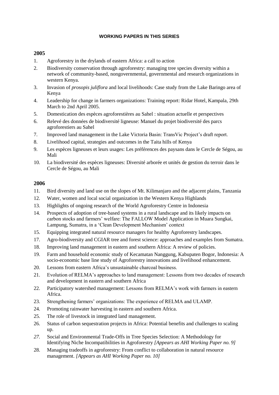### **WORKING PAPERS IN THIS SERIES**

## **2005**

- 1. Agroforestry in the drylands of eastern Africa: a call to action
- 2. Biodiversity conservation through agroforestry: managing tree species diversity within a network of community-based, nongovernmental, governmental and research organizations in western Kenya.
- 3. Invasion of *prosopis juliflora* and local livelihoods: Case study from the Lake Baringo area of Kenya
- 4. Leadership for change in farmers organizations: Training report: Ridar Hotel, Kampala, 29th March to 2nd April 2005.
- 5. Domestication des espèces agroforestières au Sahel : situation actuelle et perspectives
- 6. Relevé des données de biodiversité ligneuse: Manuel du projet biodiversité des parcs agroforestiers au Sahel
- 7. Improved land management in the Lake Victoria Basin: TransVic Project's draft report.
- 8. Livelihood capital, strategies and outcomes in the Taita hills of Kenya
- 9. Les espèces ligneuses et leurs usages: Les préférences des paysans dans le Cercle de Ségou, au Mali
- 10. La biodiversité des espèces ligneuses: Diversité arborée et unités de gestion du terroir dans le Cercle de Ségou, au Mali

- 11. Bird diversity and land use on the slopes of Mt. Kilimanjaro and the adjacent plains, Tanzania
- 12. Water, women and local social organization in the Western Kenya Highlands
- 13. Highlights of ongoing research of the World Agroforestry Centre in Indonesia
- 14. Prospects of adoption of tree-based systems in a rural landscape and its likely impacts on carbon stocks and farmers' welfare: The FALLOW Model Application in Muara Sungkai, Lampung, Sumatra, in a 'Clean Development Mechanism' context
- 15. Equipping integrated natural resource managers for healthy Agroforestry landscapes.
- 17. Agro-biodiversity and CGIAR tree and forest science: approaches and examples from Sumatra.
- 18. Improving land management in eastern and southern Africa: A review of policies.
- 19. Farm and household economic study of Kecamatan Nanggung, Kabupaten Bogor, Indonesia: A socio-economic base line study of Agroforestry innovations and livelihood enhancement.
- 20. Lessons from eastern Africa's unsustainable charcoal business.
- 21. Evolution of RELMA's approaches to land management: Lessons from two decades of research and development in eastern and southern Africa
- 22. Participatory watershed management: Lessons from RELMA's work with farmers in eastern Africa.
- 23. Strengthening farmers' organizations: The experience of RELMA and ULAMP.
- 24. Promoting rainwater harvesting in eastern and southern Africa.
- 25. The role of livestock in integrated land management.
- 26. Status of carbon sequestration projects in Africa: Potential benefits and challenges to scaling up.
- *27.* Social and Environmental Trade-Offs in Tree Species Selection: A Methodology for Identifying Niche Incompatibilities in Agroforestry *[Appears as AHI Working Paper no. 9]*
- 28. Managing tradeoffs in agroforestry: From conflict to collaboration in natural resource management. *[Appears as AHI Working Paper no. 10]*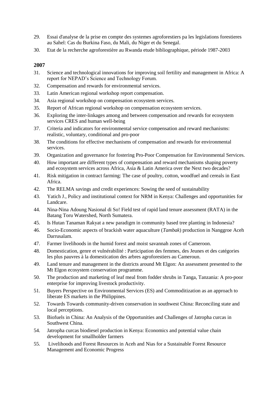- 29. Essai d'analyse de la prise en compte des systemes agroforestiers pa les legislations forestieres au Sahel: Cas du Burkina Faso, du Mali, du Niger et du Senegal.
- 30. Etat de la recherche agroforestière au Rwanda etude bibliographique, période 1987-2003

- 31. Science and technological innovations for improving soil fertility and management in Africa: A report for NEPAD's Science and Technology Forum.
- 32. Compensation and rewards for environmental services.
- 33. Latin American regional workshop report compensation.
- 34. Asia regional workshop on compensation ecosystem services.
- 35. Report of African regional workshop on compensation ecosystem services.
- 36. Exploring the inter-linkages among and between compensation and rewards for ecosystem services CRES and human well-being
- 37. Criteria and indicators for environmental service compensation and reward mechanisms: realistic, voluntary, conditional and pro-poor
- 38. The conditions for effective mechanisms of compensation and rewards for environmental services.
- 39. Organization and governance for fostering Pro-Poor Compensation for Environmental Services.
- 40. How important are different types of compensation and reward mechanisms shaping poverty and ecosystem services across Africa, Asia & Latin America over the Next two decades?
- 41. Risk mitigation in contract farming: The case of poultry, cotton, woodfuel and cereals in East Africa.
- 42. The RELMA savings and credit experiences: Sowing the seed of sustainability
- 43. Yatich J., Policy and institutional context for NRM in Kenya: Challenges and opportunities for Landcare.
- 44. Nina-Nina Adoung Nasional di So! Field test of rapid land tenure assessment (RATA) in the Batang Toru Watershed, North Sumatera.
- 45. Is Hutan Tanaman Rakyat a new paradigm in community based tree planting in Indonesia?
- 46. Socio-Economic aspects of brackish water aquaculture (*Tambak*) production in Nanggroe Aceh Darrusalam.
- 47. Farmer livelihoods in the humid forest and moist savannah zones of Cameroon.
- 48. Domestication, genre et vulnérabilité : Participation des femmes, des Jeunes et des catégories les plus pauvres à la domestication des arbres agroforestiers au Cameroun.
- 49. Land tenure and management in the districts around Mt Elgon: An assessment presented to the Mt Elgon ecosystem conservation programme.
- 50. The production and marketing of leaf meal from fodder shrubs in Tanga, Tanzania: A pro-poor enterprise for improving livestock productivity.
- 51. Buyers Perspective on Environmental Services (ES) and Commoditization as an approach to liberate ES markets in the Philippines.
- 52. Towards Towards community-driven conservation in southwest China: Reconciling state and local perceptions.
- 53. Biofuels in China: An Analysis of the Opportunities and Challenges of Jatropha curcas in Southwest China.
- 54. Jatropha curcas biodiesel production in Kenya: Economics and potential value chain development for smallholder farmers
- 55. Livelihoods and Forest Resources in Aceh and Nias for a Sustainable Forest Resource Management and Economic Progress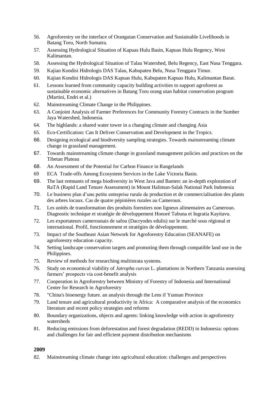- 56. Agroforestry on the interface of Orangutan Conservation and Sustainable Livelihoods in Batang Toru, North Sumatra.
- 57. Assessing Hydrological Situation of Kapuas Hulu Basin, Kapuas Hulu Regency, West Kalimantan.
- 58. Assessing the Hydrological Situation of Talau Watershed, Belu Regency, East Nusa Tenggara.
- 59. Kajian Kondisi Hidrologis DAS Talau, Kabupaten Belu, Nusa Tenggara Timur.
- 60. Kajian Kondisi Hidrologis DAS Kapuas Hulu, Kabupaten Kapuas Hulu, Kalimantan Barat.
- 61. Lessons learned from community capacity building activities to support agroforest as sustainable economic alternatives in Batang Toru orang utan habitat conservation program (Martini, Endri et al.)
- 62. Mainstreaming Climate Change in the Philippines.
- 63. A Conjoint Analysis of Farmer Preferences for Community Forestry Contracts in the Sumber Jaya Watershed, Indonesia.
- 64. The highlands: a shared water tower in a changing climate and changing Asia
- 65. Eco-Certification: Can It Deliver Conservation and Development in the Tropics.
- 66. Designing ecological and biodiversity sampling strategies. Towards mainstreaming climate change in grassland management.
- 67. Towards mainstreaming climate change in grassland management policies and practices on the Tibetan Plateau
- 68. An Assessment of the Potential for Carbon Finance in Rangelands
- 69 ECA Trade-offs Among Ecosystem Services in the Lake Victoria Basin.
- 69. The last remnants of mega biodiversity in West Java and Banten: an in-depth exploration of RaTA (Rapid Land Tenure Assessment) in Mount Halimun-Salak National Park Indonesia
- 70. Le business plan d'une petite entreprise rurale de production et de commercialisation des plants des arbres locaux. Cas de quatre pépinières rurales au Cameroun.
- 71. Les unités de transformation des produits forestiers non ligneux alimentaires au Cameroun. Diagnostic technique et stratégie de développement Honoré Tabuna et Ingratia Kayitavu.
- 72. Les exportateurs camerounais de safou (Dacryodes edulis) sur le marché sous régional et international. Profil, fonctionnement et stratégies de développement.
- 73. Impact of the Southeast Asian Network for Agroforestry Education (SEANAFE) on agroforestry education capacity.
- 74. Setting landscape conservation targets and promoting them through compatible land use in the Philippines.
- 75. Review of methods for researching multistrata systems.
- 76. Study on economical viability of *Jatropha curcas* L. plantations in Northern Tanzania assessing farmers' prospects via cost-benefit analysis
- 77. Cooperation in Agroforestry between Ministry of Forestry of Indonesia and International Center for Research in Agroforestry
- 78. "China's bioenergy future. an analysis through the Lens if Yunnan Province
- 79. Land tenure and agricultural productivity in Africa: A comparative analysis of the economics literature and recent policy strategies and reforms
- 80. Boundary organizations, objects and agents: linking knowledge with action in agroforestry watersheds
- 81. Reducing emissions from deforestation and forest degradation (REDD) in Indonesia: options and challenges for fair and efficient payment distribution mechanisms

82. Mainstreaming climate change into agricultural education: challenges and perspectives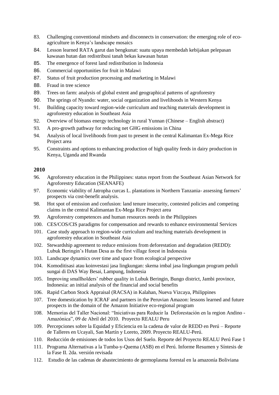- 83. Challenging conventional mindsets and disconnects in conservation: the emerging role of ecoagriculture in Kenya's landscape mosaics
- 84. Lesson learned RATA garut dan bengkunat: suatu upaya membedah kebijakan pelepasan kawasan hutan dan redistribusi tanah bekas kawasan hutan
- 85. The emergence of forest land redistribution in Indonesia
- 86. Commercial opportunities for fruit in Malawi
- 87. Status of fruit production processing and marketing in Malawi
- 88. Fraud in tree science
- 89. Trees on farm: analysis of global extent and geographical patterns of agroforestry
- 90. The springs of Nyando: water, social organization and livelihoods in Western Kenya
- 91. Building capacity toward region-wide curriculum and teaching materials development in agroforestry education in Southeast Asia
- 92. Overview of biomass energy technology in rural Yunnan (Chinese English abstract)
- 93. A pro-growth pathway for reducing net GHG emissions in China
- 94. Analysis of local livelihoods from past to present in the central Kalimantan Ex-Mega Rice Project area
- 95. Constraints and options to enhancing production of high quality feeds in dairy production in Kenya, Uganda and Rwanda

- 96. Agroforestry education in the Philippines: status report from the Southeast Asian Network for Agroforestry Education (SEANAFE)
- 97. Economic viability of Jatropha curcas L. plantations in Northern Tanzania- assessing farmers' prospects via cost-benefit analysis.
- 98. Hot spot of emission and confusion: land tenure insecurity, contested policies and competing claims in the central Kalimantan Ex-Mega Rice Project area
- 99. Agroforestry competences and human resources needs in the Philippines
- 100. CES/COS/CIS paradigms for compensation and rewards to enhance environmental Services
- 101. Case study approach to region-wide curriculum and teaching materials development in agroforestry education in Southeast Asia
- 102. Stewardship agreement to reduce emissions from deforestation and degradation (REDD): Lubuk Beringin's Hutan Desa as the first village forest in Indonesia
- 103. Landscape dynamics over time and space from ecological perspective
- 104. Komoditisasi atau koinvestasi jasa lingkungan: skema imbal jasa lingkungan program peduli sungai di DAS Way Besai, Lampung, Indonesia
- 105. Improving smallholders' rubber quality in Lubuk Beringin, Bungo district, Jambi province, Indonesia: an initial analysis of the financial and social benefits
- 106. Rapid Carbon Stock Appraisal (RACSA) in Kalahan, Nueva Vizcaya, Philippines
- 107. Tree domestication by ICRAF and partners in the Peruvian Amazon: lessons learned and future prospects in the domain of the Amazon Initiative eco-regional program
- 108. Memorias del Taller Nacional: "Iniciativas para Reducir la Deforestación en la region Andino Amazónica", 09 de Abril del 2010. Proyecto REALU Peru
- 109. Percepciones sobre la Equidad y Eficiencia en la cadena de valor de REDD en Perú Reporte de Talleres en Ucayali, San Martín y Loreto, 2009. Proyecto REALU-Perú.
- 110. Reducción de emisiones de todos los Usos del Suelo. Reporte del Proyecto REALU Perú Fase 1
- 111. Programa Alternativas a la Tumba-y-Quema (ASB) en el Perú. Informe Resumen y Síntesis de la Fase II. 2da. versión revisada
- 112. Estudio de las cadenas de abastecimiento de germoplasma forestal en la amazonía Boliviana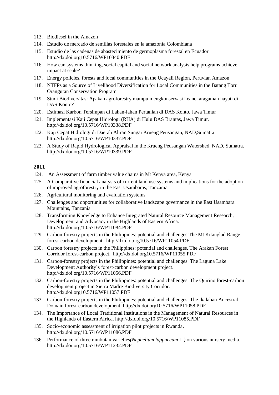- 113. Biodiesel in the Amazon
- 114. Estudio de mercado de semillas forestales en la amazonía Colombiana
- 115. Estudio de las cadenas de abastecimiento de germoplasma forestal en Ecuador <http://dx.doi.org10.5716/WP10340.PDF>
- 116. How can systems thinking, social capital and social network analysis help programs achieve impact at scale?
- 117. Energy policies, forests and local communities in the Ucayali Region, Peruvian Amazon
- 118. NTFPs as a Source of Livelihood Diversification for Local Communities in the Batang Toru Orangutan Conservation Program
- 119. Studi Biodiversitas: Apakah agroforestry mampu mengkonservasi keanekaragaman hayati di DAS Konto?
- 120. Estimasi Karbon Tersimpan di Lahan-lahan Pertanian di DAS Konto, Jawa Timur
- 121. Implementasi Kaji Cepat Hidrologi (RHA) di Hulu DAS Brantas, Jawa Timur. <http://dx.doi.org/10.5716/WP10338.PDF>
- 122. Kaji Cepat Hidrologi di Daerah Aliran Sungai Krueng Peusangan, NAD,Sumatra <http://dx.doi.org/10.5716/WP10337.PDF>
- 123. A Study of Rapid Hydrological Appraisal in the Krueng Peusangan Watershed, NAD, Sumatra. <http://dx.doi.org/10.5716/WP10339.PDF>

- 124. An Assessment of farm timber value chains in Mt Kenya area, Kenya
- 125. A Comparative financial analysis of current land use systems and implications for the adoption of improved agroforestry in the East Usambaras, Tanzania
- 126. Agricultural monitoring and evaluation systems
- 127. Challenges and opportunities for collaborative landscape governance in the East Usambara Mountains, Tanzania
- 128. Transforming Knowledge to Enhance Integrated Natural Resource Management Research, Development and Advocacy in the Highlands of Eastern Africa. <http://dx.doi.org/10.5716/WP11084.PDF>
- 129. Carbon-forestry projects in the Philippines: potential and challenges The Mt Kitanglad Range forest-carbon development. <http://dx.doi.org10.5716/WP11054.PDF>
- 130. Carbon forestry projects in the Philippines: potential and challenges. The Arakan Forest Corridor forest-carbon project. <http://dx.doi.org10.5716/WP11055.PDF>
- 131. Carbon-forestry projects in the Philippines: potential and challenges. The Laguna Lake Development Authority's forest-carbon development project. <http://dx.doi.org/10.5716/WP11056.PDF>
- 132. Carbon-forestry projects in the Philippines: potential and challenges. The Quirino forest-carbon development project in Sierra Madre Biodiversity Corridor. <http://dx.doi.org10.5716/WP11057.PDF>
- 133. Carbon-forestry projects in the Philippines: potential and challenges. The Ikalahan Ancestral Domain forest-carbon development. <http://dx.doi.org10.5716/WP11058.PDF>
- 134. The Importance of Local Traditional Institutions in the Management of Natural Resources in the Highlands of Eastern Africa. <http://dx.doi.org/10.5716/WP11085.PDF>
- 135. Socio-economic assessment of irrigation pilot projects in Rwanda. <http://dx.doi.org/10.5716/WP11086.PDF>
- 136. Performance of three rambutan varieties*(Nephelium lappaceum* L.*)* on various nursery media. <http://dx.doi.org/10.5716/WP11232.PDF>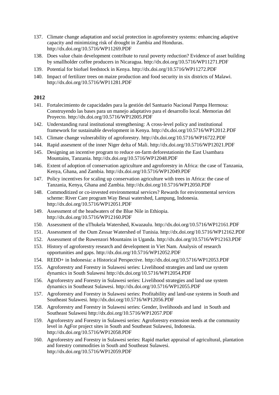- 137. Climate change adaptation and social protection in agroforestry systems: enhancing adaptive capacity and minimizing risk of drought in Zambia and Honduras. <http://dx.doi.org/10.5716/WP11269.PDF>
- 138. Does value chain development contribute to rural poverty reduction? Evidence of asset building by smallholder coffee producers in Nicaragua.<http://dx.doi.org/10.5716/WP11271.PDF>
- 139. Potential for biofuel feedstock in Kenya.<http://dx.doi.org/10.5716/WP11272.PDF>
- 140. Impact of fertilizer trees on maize production and food security in six districts of Malawi. <http://dx.doi.org/10.5716/WP11281.PDF>

- 141. Fortalecimiento de capacidades para la gestión del Santuario Nacional Pampa Hermosa: Construyendo las bases para un manejo adaptativo para el desarrollo local. Memorias del Proyecto. <http://dx.doi.org/10.5716/WP12005.PDF>
- 142. Understanding rural institutional strengthening: A cross-level policy and institutional framework for sustainable development in Kenya. <http://dx.doi.org/10.5716/WP12012.PDF>
- 143. Climate change vulnerability of agroforestry. <http://dx.doi.org/>[10.5716/WP16722.PDF](http://dx.doi.org/10.5716/WP16722.PDF)
- 144. Rapid assesment of the inner Niger delta of Mali. <http://dx.doi.org/10.5716/WP12021.PDF>
- 145. Designing an incentive program to reduce on-farm deforestationin the East Usambara Mountains, Tanzania. [http://dx.doi.org/10.5716/WP12048.PDF](http://dx.doi.org/10.5716/WP11294.PDF)
- 146. Extent of adoption of conservation agriculture and agroforestry in Africa: the case of Tanzania, Kenya, Ghana, and Zambia. <http://dx.doi.org/10.5716/WP12049.PDF>
- 147. Policy incentives for scaling up conservation agriculture with trees in Africa: the case of Tanzania, Kenya, Ghana and Zambia. <http://dx.doi.org/10.5716/WP12050.PDF>
- 148. Commoditized or co-invested environmental services? Rewards for environmental services scheme: River Care program Way Besai watershed, Lampung, Indonesia. <http://dx.doi.org/10.5716/WP12051.PDF>
- 149. Assessment of the headwaters of the Blue Nile in Ethiopia. <http://dx.doi.org/10.5716/WP12160.PDF>
- 150. Assessment of the uThukela Watershed, Kwazaulu.<http://dx.doi.org/10.5716/WP12161.PDF>
- 151. Assessment of the Oum Zessar Watershed of Tunisia.<http://dx.doi.org/10.5716/WP12162.PDF>
- 152. Assessment of the Ruwenzori Mountains in Uganda.<http://dx.doi.org/10.5716/WP12163.PDF>
- 153. History of agroforestry research and development in Viet Nam. Analysis of research opportunities and gaps. <http://dx.doi.org/10.5716/WP12052.PDF>
- 154. REDD+ in Indonesia: a Historical Perspective. <http://dx.doi.org/10.5716/WP12053.PDF>
- 155. Agroforestry and Forestry in Sulawesi series: Livelihood strategies and land use system dynamics in South Sulawesi <http://dx.doi.org/10.5716/WP12054.PDF>
- 156. Agroforestry and Forestry in Sulawesi series: Livelihood strategies and land use system dynamics in Southeast Sulawesi. <http://dx.doi.org/10.5716/WP12055.PDF>
- 157. Agroforestry and Forestry in Sulawesi series: Profitability and land-use systems in South and Southeast Sulawesi. <http://dx.doi.org/10.5716/WP12056.PDF>
- 158. Agroforestry and Forestry in Sulawesi series: Gender, livelihoods and land in South and Southeast Sulawesi<http://dx.doi.org/10.5716/WP12057.PDF>
- 159. Agroforestry and Forestry in Sulawesi series: Agroforestry extension needs at the community level in AgFor project sites in South and Southeast Sulawesi, Indonesia. <http://dx.doi.org/10.5716/WP12058.PDF>
- 160. Agroforestry and Forestry in Sulawesi series: Rapid market appraisal of agricultural, plantation and forestry commodities in South and Southeast Sulawesi. <http://dx.doi.org/10.5716/WP12059.PDF>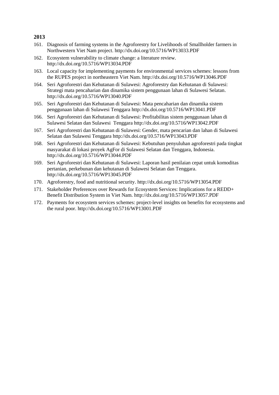- 161. Diagnosis of farming systems in the Agroforestry for Livelihoods of Smallholder farmers in Northwestern Viet Nam project.<http://dx.doi.org/10.5716/WP13033.PDF>
- 162. Ecosystem vulnerability to climate change: a literature review. <http://dx.doi.org/10.5716/WP13034.PDF>
- 163. Local capacity for implementing payments for environmental services schemes: lessons from the RUPES project in northeastern Viet Nam.<http://dx.doi.org/10.5716/WP13046.PDF>
- 164. Seri Agroforestri dan Kehutanan di Sulawesi: Agroforestry dan Kehutanan di Sulawesi: Strategi mata pencaharian dan dinamika sistem penggunaan lahan di Sulawesi Selatan. <http://dx.doi.org/10.5716/WP13040.PDF>
- 165. Seri Agroforestri dan Kehutanan di Sulawesi: Mata pencaharian dan dinamika sistem penggunaan lahan di Sulawesi Tenggara<http://dx.doi.org/10.5716/WP13041.PDF>
- 166. Seri Agroforestri dan Kehutanan di Sulawesi: Profitabilitas sistem penggunaan lahan di Sulawesi Selatan dan Sulawesi Tenggara<http://dx.doi.org/10.5716/WP13042.PDF>
- 167. Seri Agroforestri dan Kehutanan di Sulawesi: Gender, mata pencarian dan lahan di Sulawesi Selatan dan Sulawesi Tenggara<http://dx.doi.org/10.5716/WP13043.PDF>
- 168. Seri Agroforestri dan Kehutanan di Sulawesi: Kebutuhan penyuluhan agroforestri pada tingkat masyarakat di lokasi proyek AgFor di Sulawesi Selatan dan Tenggara, Indonesia. <http://dx.doi.org/10.5716/WP13044.PDF>
- 169. Seri Agroforestri dan Kehutanan di Sulawesi: Laporan hasil penilaian cepat untuk komoditas pertanian, perkebunan dan kehutanan di Sulawesi Selatan dan Tenggara. <http://dx.doi.org/10.5716/WP13045.PDF>
- 170. Agroforestry, food and nutritional security. <http://dx.doi.org/10.5716/WP13054.PDF>
- 171. Stakeholder Preferences over Rewards for Ecosystem Services: Implications for a REDD+ Benefit Distribution System in Viet Nam.<http://dx.doi.org/10.5716/WP13057.PDF>
- 172. Payments for ecosystem services schemes: project-level insights on benefits for ecosystems and the rural poor[. http://dx.doi.org/10.5716/WP13001.PDF](http://dx.doi.org/10.5716/WP13001.PDF)